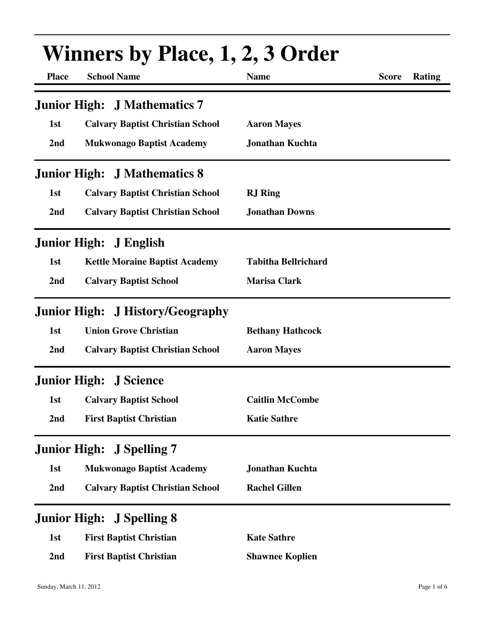| <b>Winners by Place, 1, 2, 3 Order</b> |                                         |                            |              |               |  |
|----------------------------------------|-----------------------------------------|----------------------------|--------------|---------------|--|
| <b>Place</b>                           | <b>School Name</b>                      | <b>Name</b>                | <b>Score</b> | <b>Rating</b> |  |
|                                        | <b>Junior High: J Mathematics 7</b>     |                            |              |               |  |
| 1st                                    | <b>Calvary Baptist Christian School</b> | <b>Aaron Mayes</b>         |              |               |  |
| 2nd                                    | <b>Mukwonago Baptist Academy</b>        | <b>Jonathan Kuchta</b>     |              |               |  |
|                                        | <b>Junior High: J Mathematics 8</b>     |                            |              |               |  |
| 1st                                    | <b>Calvary Baptist Christian School</b> | <b>RJ</b> Ring             |              |               |  |
| 2nd                                    | <b>Calvary Baptist Christian School</b> | <b>Jonathan Downs</b>      |              |               |  |
|                                        | Junior High: J English                  |                            |              |               |  |
| 1st                                    | <b>Kettle Moraine Baptist Academy</b>   | <b>Tabitha Bellrichard</b> |              |               |  |
| 2 <sub>nd</sub>                        | <b>Calvary Baptist School</b>           | <b>Marisa Clark</b>        |              |               |  |
|                                        | <b>Junior High: J History/Geography</b> |                            |              |               |  |
| 1st                                    | <b>Union Grove Christian</b>            | <b>Bethany Hathcock</b>    |              |               |  |
| 2nd                                    | <b>Calvary Baptist Christian School</b> | <b>Aaron Mayes</b>         |              |               |  |
|                                        | <b>Junior High: J Science</b>           |                            |              |               |  |
| 1st                                    | <b>Calvary Baptist School</b>           | <b>Caitlin McCombe</b>     |              |               |  |
| 2nd                                    | <b>First Baptist Christian</b>          | <b>Katie Sathre</b>        |              |               |  |
|                                        | <b>Junior High: J Spelling 7</b>        |                            |              |               |  |
| 1st                                    | <b>Mukwonago Baptist Academy</b>        | <b>Jonathan Kuchta</b>     |              |               |  |
| 2 <sub>nd</sub>                        | <b>Calvary Baptist Christian School</b> | <b>Rachel Gillen</b>       |              |               |  |
|                                        | <b>Junior High: J Spelling 8</b>        |                            |              |               |  |
| 1st                                    | <b>First Baptist Christian</b>          | <b>Kate Sathre</b>         |              |               |  |
| 2nd                                    | <b>First Baptist Christian</b>          | <b>Shawnee Koplien</b>     |              |               |  |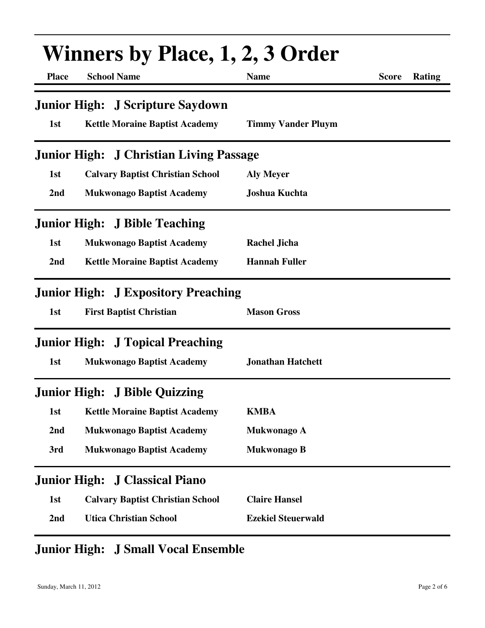| <b>Winners by Place, 1, 2, 3 Order</b> |                                                |                           |              |               |  |
|----------------------------------------|------------------------------------------------|---------------------------|--------------|---------------|--|
| <b>Place</b>                           | <b>School Name</b>                             | <b>Name</b>               | <b>Score</b> | <b>Rating</b> |  |
|                                        | <b>Junior High: J Scripture Saydown</b>        |                           |              |               |  |
| 1st                                    | <b>Kettle Moraine Baptist Academy</b>          | <b>Timmy Vander Pluym</b> |              |               |  |
|                                        | <b>Junior High: J Christian Living Passage</b> |                           |              |               |  |
| 1st                                    | <b>Calvary Baptist Christian School</b>        | <b>Aly Meyer</b>          |              |               |  |
| 2nd                                    | <b>Mukwonago Baptist Academy</b>               | Joshua Kuchta             |              |               |  |
|                                        | <b>Junior High: J Bible Teaching</b>           |                           |              |               |  |
| 1st                                    | <b>Mukwonago Baptist Academy</b>               | <b>Rachel Jicha</b>       |              |               |  |
| 2nd                                    | <b>Kettle Moraine Baptist Academy</b>          | <b>Hannah Fuller</b>      |              |               |  |
|                                        | <b>Junior High: J Expository Preaching</b>     |                           |              |               |  |
| 1st                                    | <b>First Baptist Christian</b>                 | <b>Mason Gross</b>        |              |               |  |
|                                        | <b>Junior High: J Topical Preaching</b>        |                           |              |               |  |
| 1st                                    | <b>Mukwonago Baptist Academy</b>               | <b>Jonathan Hatchett</b>  |              |               |  |
| <b>Junior High:</b>                    | <b>J</b> Bible Quizzing                        |                           |              |               |  |
| 1st                                    | <b>Kettle Moraine Baptist Academy</b>          | <b>KMBA</b>               |              |               |  |
| 2nd                                    | <b>Mukwonago Baptist Academy</b>               | Mukwonago A               |              |               |  |
| 3rd                                    | <b>Mukwonago Baptist Academy</b>               | <b>Mukwonago B</b>        |              |               |  |
|                                        | <b>Junior High: J Classical Piano</b>          |                           |              |               |  |
| 1st                                    | <b>Calvary Baptist Christian School</b>        | <b>Claire Hansel</b>      |              |               |  |
| 2nd                                    | <b>Utica Christian School</b>                  | <b>Ezekiel Steuerwald</b> |              |               |  |

## **Junior High: J Small Vocal Ensemble**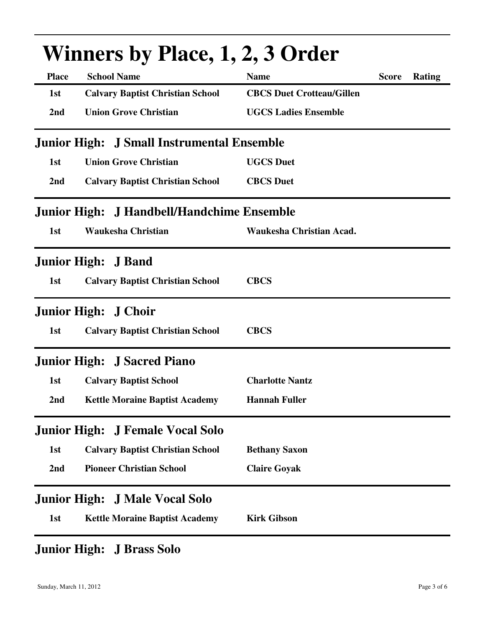| <b>Winners by Place, 1, 2, 3 Order</b> |                                            |                                  |              |        |  |  |
|----------------------------------------|--------------------------------------------|----------------------------------|--------------|--------|--|--|
| <b>Place</b>                           | <b>School Name</b>                         | <b>Name</b>                      | <b>Score</b> | Rating |  |  |
| 1st                                    | <b>Calvary Baptist Christian School</b>    | <b>CBCS Duet Crotteau/Gillen</b> |              |        |  |  |
| 2nd                                    | <b>Union Grove Christian</b>               | <b>UGCS Ladies Ensemble</b>      |              |        |  |  |
|                                        | Junior High: J Small Instrumental Ensemble |                                  |              |        |  |  |
| 1st                                    | <b>Union Grove Christian</b>               | <b>UGCS</b> Duet                 |              |        |  |  |
| 2nd                                    | <b>Calvary Baptist Christian School</b>    | <b>CBCS</b> Duet                 |              |        |  |  |
|                                        | Junior High: J Handbell/Handchime Ensemble |                                  |              |        |  |  |
| 1st                                    | <b>Waukesha Christian</b>                  | Waukesha Christian Acad.         |              |        |  |  |
|                                        | <b>Junior High: J Band</b>                 |                                  |              |        |  |  |
| 1st                                    | <b>Calvary Baptist Christian School</b>    | <b>CBCS</b>                      |              |        |  |  |
|                                        | <b>Junior High: J Choir</b>                |                                  |              |        |  |  |
| 1st                                    | <b>Calvary Baptist Christian School</b>    | <b>CBCS</b>                      |              |        |  |  |
|                                        | <b>Junior High: J Sacred Piano</b>         |                                  |              |        |  |  |
| 1st                                    | <b>Calvary Baptist School</b>              | <b>Charlotte Nantz</b>           |              |        |  |  |
| 2nd                                    | <b>Kettle Moraine Baptist Academy</b>      | <b>Hannah Fuller</b>             |              |        |  |  |
|                                        | <b>Junior High: J Female Vocal Solo</b>    |                                  |              |        |  |  |
| 1st                                    | <b>Calvary Baptist Christian School</b>    | <b>Bethany Saxon</b>             |              |        |  |  |
| 2nd                                    | <b>Pioneer Christian School</b>            | <b>Claire Goyak</b>              |              |        |  |  |
|                                        | <b>Junior High: J Male Vocal Solo</b>      |                                  |              |        |  |  |
| 1st                                    | <b>Kettle Moraine Baptist Academy</b>      | <b>Kirk Gibson</b>               |              |        |  |  |

## **Junior High: J Brass Solo**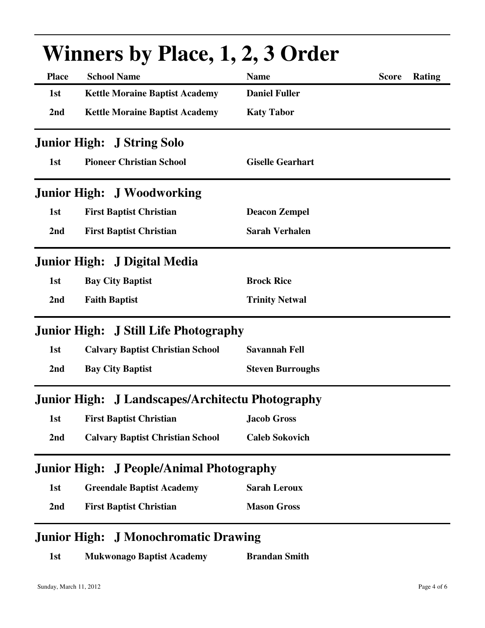|                 | <b>Winners by Place, 1, 2, 3 Order</b>                  |                         |              |        |
|-----------------|---------------------------------------------------------|-------------------------|--------------|--------|
| <b>Place</b>    | <b>School Name</b>                                      | <b>Name</b>             | <b>Score</b> | Rating |
| 1st             | <b>Kettle Moraine Baptist Academy</b>                   | <b>Daniel Fuller</b>    |              |        |
| 2nd             | <b>Kettle Moraine Baptist Academy</b>                   | <b>Katy Tabor</b>       |              |        |
|                 | <b>Junior High: J String Solo</b>                       |                         |              |        |
| 1st             | <b>Pioneer Christian School</b>                         | <b>Giselle Gearhart</b> |              |        |
|                 | <b>Junior High: J Woodworking</b>                       |                         |              |        |
| 1st             | <b>First Baptist Christian</b>                          | <b>Deacon Zempel</b>    |              |        |
| 2nd             | <b>First Baptist Christian</b>                          | <b>Sarah Verhalen</b>   |              |        |
|                 | Junior High: J Digital Media                            |                         |              |        |
| 1st             | <b>Bay City Baptist</b>                                 | <b>Brock Rice</b>       |              |        |
| 2nd             | <b>Faith Baptist</b>                                    | <b>Trinity Netwal</b>   |              |        |
|                 | <b>Junior High: J Still Life Photography</b>            |                         |              |        |
| 1st             | <b>Calvary Baptist Christian School</b>                 | <b>Savannah Fell</b>    |              |        |
| 2nd             | <b>Bay City Baptist</b>                                 | <b>Steven Burroughs</b> |              |        |
|                 | <b>Junior High: J Landscapes/Architectu Photography</b> |                         |              |        |
| 1st             | <b>First Baptist Christian</b>                          | <b>Jacob Gross</b>      |              |        |
| 2nd             | <b>Calvary Baptist Christian School</b>                 | <b>Caleb Sokovich</b>   |              |        |
|                 | <b>Junior High: J People/Animal Photography</b>         |                         |              |        |
| 1st             | <b>Greendale Baptist Academy</b>                        | <b>Sarah Leroux</b>     |              |        |
| 2 <sub>nd</sub> | <b>First Baptist Christian</b>                          | <b>Mason Gross</b>      |              |        |
|                 | <b>Junior High: J Monochromatic Drawing</b>             |                         |              |        |
| 1st             | <b>Mukwonago Baptist Academy</b>                        | <b>Brandan Smith</b>    |              |        |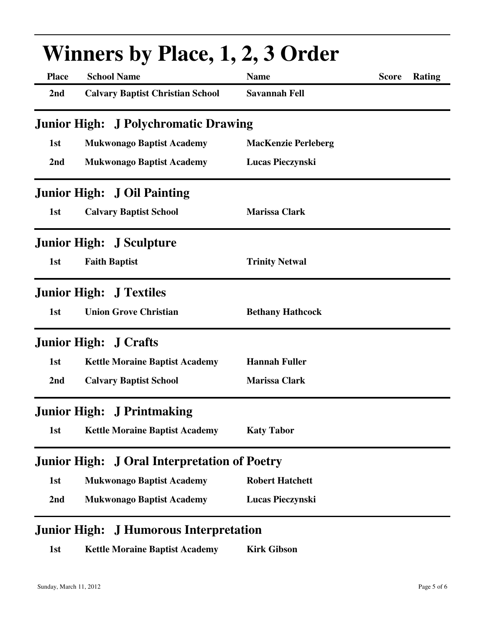| <b>Place</b> | <b>School Name</b>                                  | <b>Name</b>                | <b>Score</b> | Rating |
|--------------|-----------------------------------------------------|----------------------------|--------------|--------|
| 2nd          | <b>Calvary Baptist Christian School</b>             | <b>Savannah Fell</b>       |              |        |
|              | <b>Junior High: J Polychromatic Drawing</b>         |                            |              |        |
| 1st          | <b>Mukwonago Baptist Academy</b>                    | <b>MacKenzie Perleberg</b> |              |        |
| 2nd          | <b>Mukwonago Baptist Academy</b>                    | Lucas Pieczynski           |              |        |
|              | <b>Junior High: J Oil Painting</b>                  |                            |              |        |
| 1st          | <b>Calvary Baptist School</b>                       | <b>Marissa Clark</b>       |              |        |
|              | <b>Junior High: J Sculpture</b>                     |                            |              |        |
| 1st          | <b>Faith Baptist</b>                                | <b>Trinity Netwal</b>      |              |        |
|              | <b>Junior High: J Textiles</b>                      |                            |              |        |
| 1st          | <b>Union Grove Christian</b>                        | <b>Bethany Hathcock</b>    |              |        |
|              | <b>Junior High: J Crafts</b>                        |                            |              |        |
| 1st          | <b>Kettle Moraine Baptist Academy</b>               | <b>Hannah Fuller</b>       |              |        |
| 2nd          | <b>Calvary Baptist School</b>                       | <b>Marissa Clark</b>       |              |        |
|              | <b>Junior High: J Printmaking</b>                   |                            |              |        |
| 1st          | <b>Kettle Moraine Baptist Academy</b>               | <b>Katy Tabor</b>          |              |        |
|              | <b>Junior High: J Oral Interpretation of Poetry</b> |                            |              |        |
| 1st          | <b>Mukwonago Baptist Academy</b>                    | <b>Robert Hatchett</b>     |              |        |
| 2nd          | <b>Mukwonago Baptist Academy</b>                    | Lucas Pieczynski           |              |        |

**1st Kettle Moraine Baptist Academy Kirk Gibson**